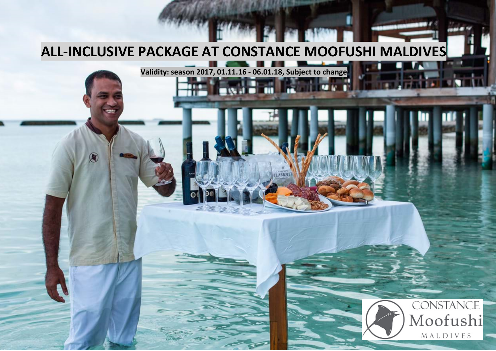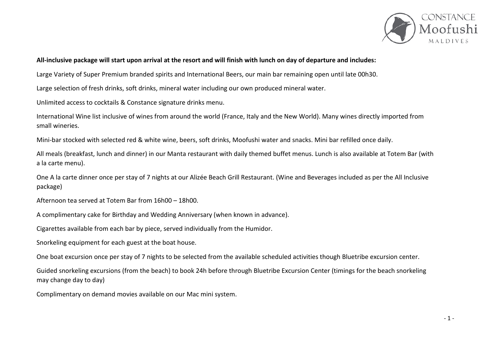

## **All-inclusive package will start upon arrival at the resort and will finish with lunch on day of departure and includes:**

Large Variety of Super Premium branded spirits and International Beers, our main bar remaining open until late 00h30.

Large selection of fresh drinks, soft drinks, mineral water including our own produced mineral water.

Unlimited access to cocktails & Constance signature drinks menu.

International Wine list inclusive of wines from around the world (France, Italy and the New World). Many wines directly imported from small wineries.

Mini-bar stocked with selected red & white wine, beers, soft drinks, Moofushi water and snacks. Mini bar refilled once daily.

All meals (breakfast, lunch and dinner) in our Manta restaurant with daily themed buffet menus. Lunch is also available at Totem Bar (with a la carte menu).

One A la carte dinner once per stay of 7 nights at our Alizée Beach Grill Restaurant. (Wine and Beverages included as per the All Inclusive package)

Afternoon tea served at Totem Bar from 16h00 – 18h00.

A complimentary cake for Birthday and Wedding Anniversary (when known in advance).

Cigarettes available from each bar by piece, served individually from the Humidor.

Snorkeling equipment for each guest at the boat house.

One boat excursion once per stay of 7 nights to be selected from the available scheduled activities though Bluetribe excursion center.

Guided snorkeling excursions (from the beach) to book 24h before through Bluetribe Excursion Center (timings for the beach snorkeling may change day to day)

Complimentary on demand movies available on our Mac mini system.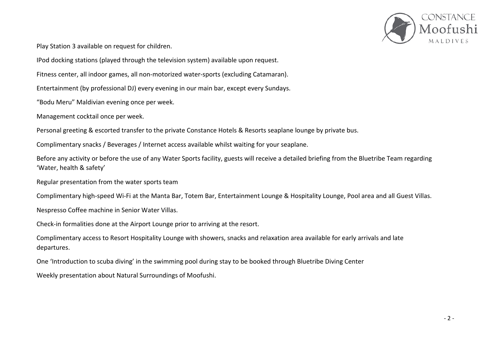

Play Station 3 available on request for children.

IPod docking stations (played through the television system) available upon request.

Fitness center, all indoor games, all non-motorized water-sports (excluding Catamaran).

Entertainment (by professional DJ) every evening in our main bar, except every Sundays.

"Bodu Meru" Maldivian evening once per week.

Management cocktail once per week.

Personal greeting & escorted transfer to the private Constance Hotels & Resorts seaplane lounge by private bus.

Complimentary snacks / Beverages / Internet access available whilst waiting for your seaplane.

Before any activity or before the use of any Water Sports facility, guests will receive a detailed briefing from the Bluetribe Team regarding 'Water, health & safety'

Regular presentation from the water sports team

Complimentary high-speed Wi-Fi at the Manta Bar, Totem Bar, Entertainment Lounge & Hospitality Lounge, Pool area and all Guest Villas.

Nespresso Coffee machine in Senior Water Villas.

Check-in formalities done at the Airport Lounge prior to arriving at the resort.

Complimentary access to Resort Hospitality Lounge with showers, snacks and relaxation area available for early arrivals and late departures.

One 'Introduction to scuba diving' in the swimming pool during stay to be booked through Bluetribe Diving Center

Weekly presentation about Natural Surroundings of Moofushi.